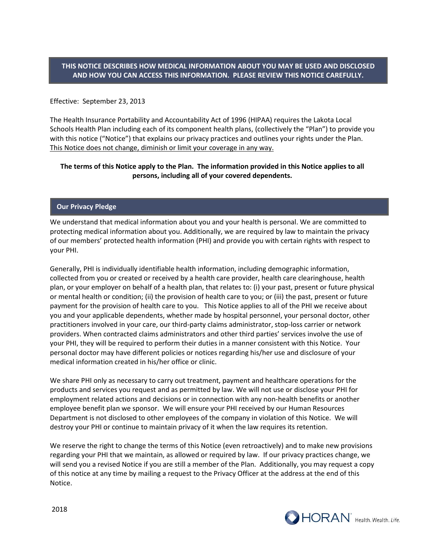# **THIS NOTICE DESCRIBES HOW MEDICAL INFORMATION ABOUT YOU MAY BE USED AND DISCLOSED AND HOW YOU CAN ACCESS THIS INFORMATION. PLEASE REVIEW THIS NOTICE CAREFULLY.**

### Effective: September 23, 2013

The Health Insurance Portability and Accountability Act of 1996 (HIPAA) requires the Lakota Local Schools Health Plan including each of its component health plans, (collectively the "Plan") to provide you with this notice ("Notice") that explains our privacy practices and outlines your rights under the Plan. This Notice does not change, diminish or limit your coverage in any way.

# **The terms of this Notice apply to the Plan. The information provided in this Notice applies to all persons, including all of your covered dependents.**

# **Our Privacy Pledge**

We understand that medical information about you and your health is personal. We are committed to protecting medical information about you. Additionally, we are required by law to maintain the privacy of our members' protected health information (PHI) and provide you with certain rights with respect to your PHI.

Generally, PHI is individually identifiable health information, including demographic information, collected from you or created or received by a health care provider, health care clearinghouse, health plan, or your employer on behalf of a health plan, that relates to: (i) your past, present or future physical or mental health or condition; (ii) the provision of health care to you; or (iii) the past, present or future payment for the provision of health care to you. This Notice applies to all of the PHI we receive about you and your applicable dependents, whether made by hospital personnel, your personal doctor, other practitioners involved in your care, our third-party claims administrator, stop-loss carrier or network providers. When contracted claims administrators and other third parties' services involve the use of your PHI, they will be required to perform their duties in a manner consistent with this Notice. Your personal doctor may have different policies or notices regarding his/her use and disclosure of your medical information created in his/her office or clinic.

We share PHI only as necessary to carry out treatment, payment and healthcare operations for the products and services you request and as permitted by law. We will not use or disclose your PHI for employment related actions and decisions or in connection with any non-health benefits or another employee benefit plan we sponsor. We will ensure your PHI received by our Human Resources Department is not disclosed to other employees of the company in violation of this Notice. We will destroy your PHI or continue to maintain privacy of it when the law requires its retention.

We reserve the right to change the terms of this Notice (even retroactively) and to make new provisions regarding your PHI that we maintain, as allowed or required by law. If our privacy practices change, we will send you a revised Notice if you are still a member of the Plan. Additionally, you may request a copy of this notice at any time by mailing a request to the Privacy Officer at the address at the end of this Notice.

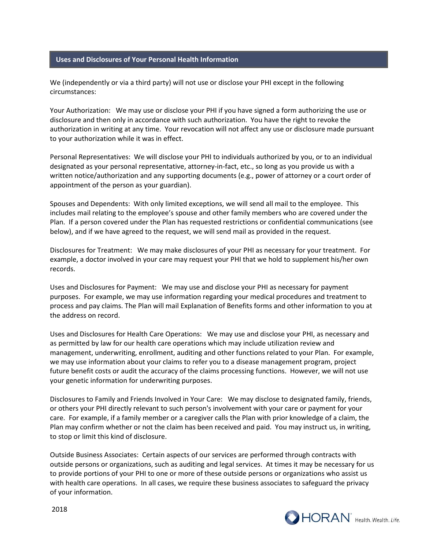#### **Uses and Disclosures of Your Personal Health Information**

We (independently or via a third party) will not use or disclose your PHI except in the following circumstances:

Your Authorization: We may use or disclose your PHI if you have signed a form authorizing the use or disclosure and then only in accordance with such authorization. You have the right to revoke the authorization in writing at any time. Your revocation will not affect any use or disclosure made pursuant to your authorization while it was in effect.

Personal Representatives: We will disclose your PHI to individuals authorized by you, or to an individual designated as your personal representative, attorney-in-fact, etc., so long as you provide us with a written notice/authorization and any supporting documents (e.g., power of attorney or a court order of appointment of the person as your guardian).

Spouses and Dependents: With only limited exceptions, we will send all mail to the employee. This includes mail relating to the employee's spouse and other family members who are covered under the Plan. If a person covered under the Plan has requested restrictions or confidential communications (see below), and if we have agreed to the request, we will send mail as provided in the request.

Disclosures for Treatment: We may make disclosures of your PHI as necessary for your treatment. For example, a doctor involved in your care may request your PHI that we hold to supplement his/her own records.

Uses and Disclosures for Payment: We may use and disclose your PHI as necessary for payment purposes. For example, we may use information regarding your medical procedures and treatment to process and pay claims. The Plan will mail Explanation of Benefits forms and other information to you at the address on record.

Uses and Disclosures for Health Care Operations: We may use and disclose your PHI, as necessary and as permitted by law for our health care operations which may include utilization review and management, underwriting, enrollment, auditing and other functions related to your Plan. For example, we may use information about your claims to refer you to a disease management program, project future benefit costs or audit the accuracy of the claims processing functions. However, we will not use your genetic information for underwriting purposes.

Disclosures to Family and Friends Involved in Your Care: We may disclose to designated family, friends, or others your PHI directly relevant to such person's involvement with your care or payment for your care. For example, if a family member or a caregiver calls the Plan with prior knowledge of a claim, the Plan may confirm whether or not the claim has been received and paid. You may instruct us, in writing, to stop or limit this kind of disclosure.

Outside Business Associates: Certain aspects of our services are performed through contracts with outside persons or organizations, such as auditing and legal services. At times it may be necessary for us to provide portions of your PHI to one or more of these outside persons or organizations who assist us with health care operations. In all cases, we require these business associates to safeguard the privacy of your information.

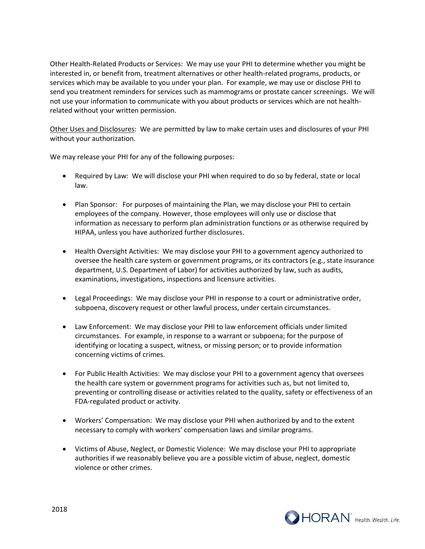Other Health-Related Products or Services: We may use your PHI to determine whether you might be interested in, or benefit from, treatment alternatives or other health-related programs, products, or services which may be available to you under your plan. For example, we may use or disclose PHI to send you treatment reminders for services such as mammograms or prostate cancer screenings. We will not use your information to communicate with you about products or services which are not healthrelated without your written permission.

Other Uses and Disclosures: We are permitted by law to make certain uses and disclosures of your PHI without your authorization.

We may release your PHI for any of the following purposes:

- Required by Law: We will disclose your PHI when required to do so by federal, state or local law.
- Plan Sponsor: For purposes of maintaining the Plan, we may disclose your PHI to certain employees of the company. However, those employees will only use or disclose that information as necessary to perform plan administration functions or as otherwise required by HIPAA, unless you have authorized further disclosures.
- Health Oversight Activities: We may disclose your PHI to a government agency authorized to oversee the health care system or government programs, or its contractors (e.g., state insurance department, U.S. Department of Labor) for activities authorized by law, such as audits, examinations, investigations, inspections and licensure activities.
- Legal Proceedings: We may disclose your PHI in response to a court or administrative order, subpoena, discovery request or other lawful process, under certain circumstances.
- Law Enforcement: We may disclose your PHI to law enforcement officials under limited circumstances. For example, in response to a warrant or subpoena; for the purpose of identifying or locating a suspect, witness, or missing person; or to provide information concerning victims of crimes.
- For Public Health Activities: We may disclose your PHI to a government agency that oversees the health care system or government programs for activities such as, but not limited to, preventing or controlling disease or activities related to the quality, safety or effectiveness of an FDA-regulated product or activity.
- Workers' Compensation: We may disclose your PHI when authorized by and to the extent necessary to comply with workers' compensation laws and similar programs.
- Victims of Abuse, Neglect, or Domestic Violence: We may disclose your PHI to appropriate authorities if we reasonably believe you are a possible victim of abuse, neglect, domestic violence or other crimes.

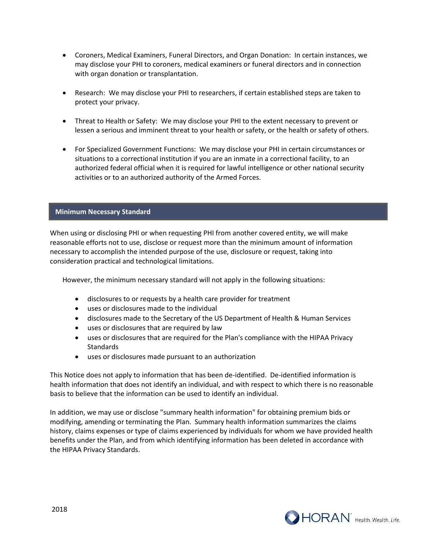- Coroners, Medical Examiners, Funeral Directors, and Organ Donation: In certain instances, we may disclose your PHI to coroners, medical examiners or funeral directors and in connection with organ donation or transplantation.
- Research: We may disclose your PHI to researchers, if certain established steps are taken to protect your privacy.
- Threat to Health or Safety: We may disclose your PHI to the extent necessary to prevent or lessen a serious and imminent threat to your health or safety, or the health or safety of others.
- For Specialized Government Functions: We may disclose your PHI in certain circumstances or situations to a correctional institution if you are an inmate in a correctional facility, to an authorized federal official when it is required for lawful intelligence or other national security activities or to an authorized authority of the Armed Forces.

### **Minimum Necessary Standard**

When using or disclosing PHI or when requesting PHI from another covered entity, we will make reasonable efforts not to use, disclose or request more than the minimum amount of information necessary to accomplish the intended purpose of the use, disclosure or request, taking into consideration practical and technological limitations.

However, the minimum necessary standard will not apply in the following situations:

- disclosures to or requests by a health care provider for treatment
- uses or disclosures made to the individual
- disclosures made to the Secretary of the US Department of Health & Human Services
- uses or disclosures that are required by law
- uses or disclosures that are required for the Plan's compliance with the HIPAA Privacy Standards
- uses or disclosures made pursuant to an authorization

This Notice does not apply to information that has been de-identified. De-identified information is health information that does not identify an individual, and with respect to which there is no reasonable basis to believe that the information can be used to identify an individual.

In addition, we may use or disclose "summary health information" for obtaining premium bids or modifying, amending or terminating the Plan. Summary health information summarizes the claims history, claims expenses or type of claims experienced by individuals for whom we have provided health benefits under the Plan, and from which identifying information has been deleted in accordance with the HIPAA Privacy Standards.

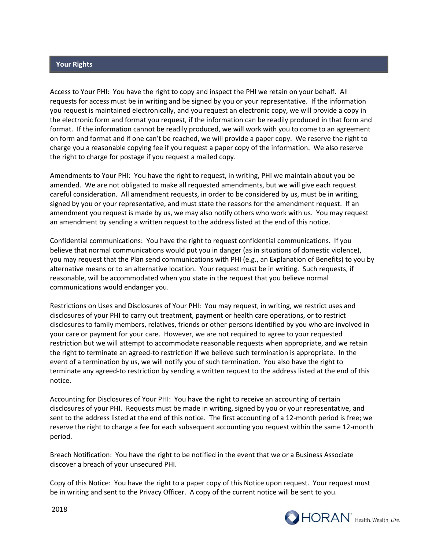### **Your Rights**

Access to Your PHI: You have the right to copy and inspect the PHI we retain on your behalf. All requests for access must be in writing and be signed by you or your representative. If the information you request is maintained electronically, and you request an electronic copy, we will provide a copy in the electronic form and format you request, if the information can be readily produced in that form and format. If the information cannot be readily produced, we will work with you to come to an agreement on form and format and if one can't be reached, we will provide a paper copy. We reserve the right to charge you a reasonable copying fee if you request a paper copy of the information. We also reserve the right to charge for postage if you request a mailed copy.

Amendments to Your PHI: You have the right to request, in writing, PHI we maintain about you be amended. We are not obligated to make all requested amendments, but we will give each request careful consideration. All amendment requests, in order to be considered by us, must be in writing, signed by you or your representative, and must state the reasons for the amendment request. If an amendment you request is made by us, we may also notify others who work with us. You may request an amendment by sending a written request to the address listed at the end of this notice.

Confidential communications: You have the right to request confidential communications. If you believe that normal communications would put you in danger (as in situations of domestic violence), you may request that the Plan send communications with PHI (e.g., an Explanation of Benefits) to you by alternative means or to an alternative location. Your request must be in writing. Such requests, if reasonable, will be accommodated when you state in the request that you believe normal communications would endanger you.

Restrictions on Uses and Disclosures of Your PHI: You may request, in writing, we restrict uses and disclosures of your PHI to carry out treatment, payment or health care operations, or to restrict disclosures to family members, relatives, friends or other persons identified by you who are involved in your care or payment for your care. However, we are not required to agree to your requested restriction but we will attempt to accommodate reasonable requests when appropriate, and we retain the right to terminate an agreed-to restriction if we believe such termination is appropriate. In the event of a termination by us, we will notify you of such termination. You also have the right to terminate any agreed-to restriction by sending a written request to the address listed at the end of this notice.

Accounting for Disclosures of Your PHI: You have the right to receive an accounting of certain disclosures of your PHI. Requests must be made in writing, signed by you or your representative, and sent to the address listed at the end of this notice. The first accounting of a 12-month period is free; we reserve the right to charge a fee for each subsequent accounting you request within the same 12-month period.

Breach Notification: You have the right to be notified in the event that we or a Business Associate discover a breach of your unsecured PHI.

Copy of this Notice: You have the right to a paper copy of this Notice upon request. Your request must be in writing and sent to the Privacy Officer. A copy of the current notice will be sent to you.